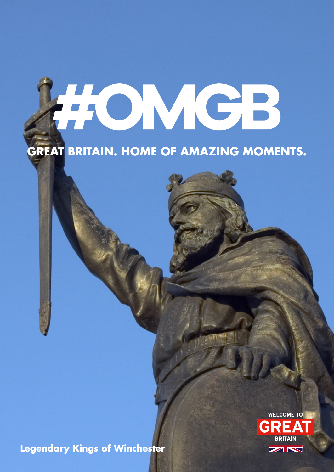# HOMCB

# **GREAT BRITAIN. HOME OF AMAZING MOMENTS.**

**Legendary Kings of Winchester**

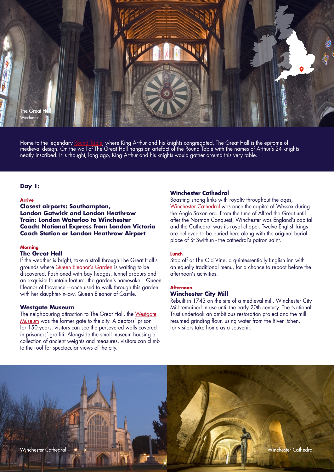

Home to the legendary <u>[Round Table](http://www3.hants.gov.uk/greathall/roundtable.htm),</u> where King Arthur and his knights congregated, The Great Hall is the epitome of medieval design. On the wall of The Great Hall hangs an artefact of the Round Table with the names of Arthur's 24 knights neatly inscribed. It is thought, long ago, King Arthur and his knights would gather around this very table.

# **Day 1:**

#### **Arrive**

**Closest airports: Southampton, London Gatwick and London Heathrow Train: London Waterloo to Winchester Coach: National Express from London Victoria Coach Station or London Heathrow Airport** 

#### **Morning**

#### **The Great Hall**

If the weather is bright, take a stroll through The Great Hall's grounds where [Queen Eleanor's Garden](https://www.hants.gov.uk/thingstodo/greathall/whattosee) is waiting to be discovered. Fashioned with bay hedges, tunnel arbours and an exquisite fountain feature, the garden's namesake – Queen Eleanor of Provence – once used to walk through this garden with her daughter-in-law, Queen Eleanor of Castile.

#### **Westgate Museum**

The neighbouring attraction to The Great Hall, the [Westgate](http://www.visitwinchester.co.uk/westgate-museum) [Museum](http://www.visitwinchester.co.uk/westgate-museum) was the former gate to the city. A debtors' prison for 150 years, visitors can see the persevered walls covered in prisoners' graffiti. Alongside the small museum housing a collection of ancient weights and measures, visitors can climb to the roof for spectacular views of the city.

### **Winchester Cathedral**

Boasting strong links with royalty throughout the ages, [Winchester Cathedral](http://www.winchester-cathedral.org.uk/) was once the capital of Wessex during the Anglo-Saxon era. From the time of Alfred the Great until after the Norman Conquest, Winchester was England's capital and the Cathedral was its royal chapel. Twelve English kings are believed to be buried here along with the original burial place of St Swithun - the cathedral's patron saint.

#### **Lunch**

Stop off at The Old Vine, a quintessentially English inn with an equally traditional menu, for a chance to reboot before the afternoon's activities.

# **Afternoon**

# **Winchester City Mill**

Rebuilt in 1743 on the site of a medieval mill, Winchester City Mill remained in use until the early 20th century. The National Trust undertook an ambitious restoration project and the mill resumed grinding flour, using water from the River Itchen, for visitors take home as a souvenir.